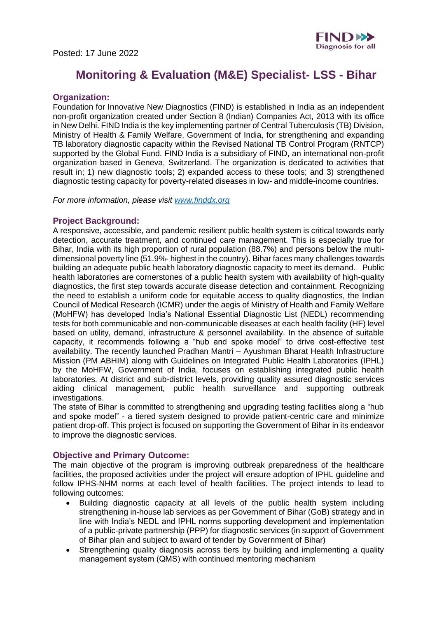

# **Monitoring & Evaluation (M&E) Specialist- LSS - Bihar**

## **Organization:**

Foundation for Innovative New Diagnostics (FIND) is established in India as an independent non-profit organization created under Section 8 (Indian) Companies Act, 2013 with its office in New Delhi. FIND India is the key implementing partner of Central Tuberculosis (TB) Division, Ministry of Health & Family Welfare, Government of India, for strengthening and expanding TB laboratory diagnostic capacity within the Revised National TB Control Program (RNTCP) supported by the Global Fund. FIND India is a subsidiary of FIND, an international non-profit organization based in Geneva, Switzerland. The organization is dedicated to activities that result in; 1) new diagnostic tools; 2) expanded access to these tools; and 3) strengthened diagnostic testing capacity for poverty-related diseases in low- and middle-income countries. 

*For more information, please visit [www.finddx.org](http://www.finddx.org/)*

#### **Project Background:**

A responsive, accessible, and pandemic resilient public health system is critical towards early detection, accurate treatment, and continued care management. This is especially true for Bihar, India with its high proportion of rural population (88.7%) and persons below the multidimensional poverty line (51.9%- highest in the country). Bihar faces many challenges towards building an adequate public health laboratory diagnostic capacity to meet its demand. Public health laboratories are cornerstones of a public health system with availability of high-quality diagnostics, the first step towards accurate disease detection and containment. Recognizing the need to establish a uniform code for equitable access to quality diagnostics, the Indian Council of Medical Research (ICMR) under the aegis of Ministry of Health and Family Welfare (MoHFW) has developed India's National Essential Diagnostic List (NEDL) recommending tests for both communicable and non-communicable diseases at each health facility (HF) level based on utility, demand, infrastructure & personnel availability. In the absence of suitable capacity, it recommends following a "hub and spoke model" to drive cost-effective test availability. The recently launched Pradhan Mantri – Ayushman Bharat Health Infrastructure Mission (PM ABHIM) along with Guidelines on Integrated Public Health Laboratories (IPHL) by the MoHFW, Government of India, focuses on establishing integrated public health laboratories. At district and sub-district levels, providing quality assured diagnostic services aiding clinical management, public health surveillance and supporting outbreak investigations. 

The state of Bihar is committed to strengthening and upgrading testing facilities along a "hub and spoke model" - a tiered system designed to provide patient-centric care and minimize patient drop-off. This project is focused on supporting the Government of Bihar in its endeavor to improve the diagnostic services. 

## **Objective and Primary Outcome:**

The main objective of the program is improving outbreak preparedness of the healthcare facilities, the proposed activities under the project will ensure adoption of IPHL guideline and follow IPHS-NHM norms at each level of health facilities. The project intends to lead to following outcomes:

- Building diagnostic capacity at all levels of the public health system including strengthening in-house lab services as per Government of Bihar (GoB) strategy and in line with India's NEDL and IPHL norms supporting development and implementation of a public-private partnership (PPP) for diagnostic services (in support of Government of Bihar plan and subject to award of tender by Government of Bihar)
- Strengthening quality diagnosis across tiers by building and implementing a quality management system (QMS) with continued mentoring mechanism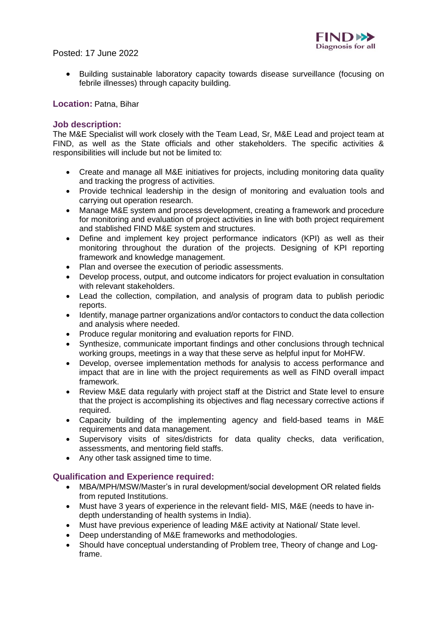

Posted: 17 June 2022

• Building sustainable laboratory capacity towards disease surveillance (focusing on febrile illnesses) through capacity building.

# **Location:** Patna, Bihar

# **Job description:**

The M&E Specialist will work closely with the Team Lead, Sr, M&E Lead and project team at FIND, as well as the State officials and other stakeholders. The specific activities & responsibilities will include but not be limited to:

- Create and manage all M&E initiatives for projects, including monitoring data quality and tracking the progress of activities.
- Provide technical leadership in the design of monitoring and evaluation tools and carrying out operation research.
- Manage M&E system and process development, creating a framework and procedure for monitoring and evaluation of project activities in line with both project requirement and stablished FIND M&E system and structures.
- Define and implement key project performance indicators (KPI) as well as their monitoring throughout the duration of the projects. Designing of KPI reporting framework and knowledge management.
- Plan and oversee the execution of periodic assessments.
- Develop process, output, and outcome indicators for project evaluation in consultation with relevant stakeholders.
- Lead the collection, compilation, and analysis of program data to publish periodic reports.
- Identify, manage partner organizations and/or contactors to conduct the data collection and analysis where needed.
- Produce regular monitoring and evaluation reports for FIND.
- Synthesize, communicate important findings and other conclusions through technical working groups, meetings in a way that these serve as helpful input for MoHFW.
- Develop, oversee implementation methods for analysis to access performance and impact that are in line with the project requirements as well as FIND overall impact framework.
- Review M&E data regularly with project staff at the District and State level to ensure that the project is accomplishing its objectives and flag necessary corrective actions if required.
- Capacity building of the implementing agency and field-based teams in M&E requirements and data management.
- Supervisory visits of sites/districts for data quality checks, data verification, assessments, and mentoring field staffs.
- Any other task assigned time to time.

## **Qualification and Experience required:**

- MBA/MPH/MSW/Master's in rural development/social development OR related fields from reputed Institutions.
- Must have 3 years of experience in the relevant field- MIS, M&E (needs to have indepth understanding of health systems in India).
- Must have previous experience of leading M&E activity at National/ State level.
- Deep understanding of M&E frameworks and methodologies.
- Should have conceptual understanding of Problem tree, Theory of change and Logframe.